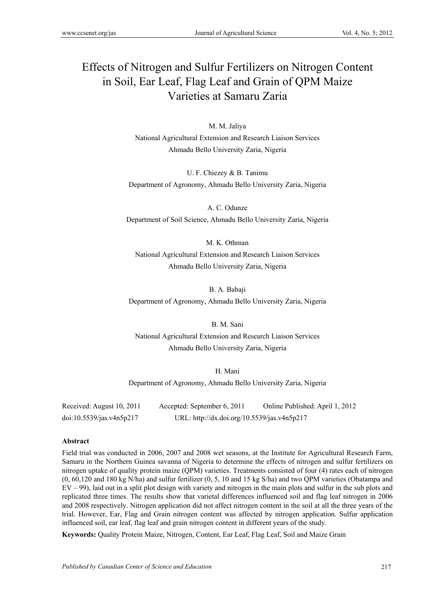# Effects of Nitrogen and Sulfur Fertilizers on Nitrogen Content in Soil, Ear Leaf, Flag Leaf and Grain of QPM Maize Varieties at Samaru Zaria

M. M. Jaliya National Agricultural Extension and Research Liaison Services Ahmadu Bello University Zaria, Nigeria

U. F. Chiezey & B. Tanimu Department of Agronomy, Ahmadu Bello University Zaria, Nigeria

A. C. Odunze Department of Soil Science, Ahmadu Bello University Zaria, Nigeria

M. K. Othman National Agricultural Extension and Research Liaison Services Ahmadu Bello University Zaria, Nigeria

B. A. Babaji Department of Agronomy, Ahmadu Bello University Zaria, Nigeria

B. M. Sani National Agricultural Extension and Research Liaison Services Ahmadu Bello University Zaria, Nigeria

H. Mani Department of Agronomy, Ahmadu Bello University Zaria, Nigeria

Received: August 10, 2011 Accepted: September 6, 2011 Online Published: April 1, 2012 doi:10.5539/jas.v4n5p217 URL: http://dx.doi.org/10.5539/jas.v4n5p217

# **Abstract**

Field trial was conducted in 2006, 2007 and 2008 wet seasons, at the Institute for Agricultural Research Farm, Samaru in the Northern Guinea savanna of Nigeria to determine the effects of nitrogen and sulfur fertilizers on nitrogen uptake of quality protein maize (QPM) varieties. Treatments consisted of four (4) rates each of nitrogen (0, 60,120 and 180 kg N/ha) and sulfur fertilizer (0, 5, 10 and 15 kg S/ha) and two QPM varieties (Obatampa and EV – 99), laid out in a split plot design with variety and nitrogen in the main plots and sulfur in the sub plots and replicated three times. The results show that varietal differences influenced soil and flag leaf nitrogen in 2006 and 2008 respectively. Nitrogen application did not affect nitrogen content in the soil at all the three years of the trial. However, Ear, Flag and Grain nitrogen content was affected by nitrogen application. Sulfur application influenced soil, ear leaf, flag leaf and grain nitrogen content in different years of the study.

**Keywords:** Quality Protein Maize, Nitrogen, Content, Ear Leaf, Flag Leaf, Soil and Maize Grain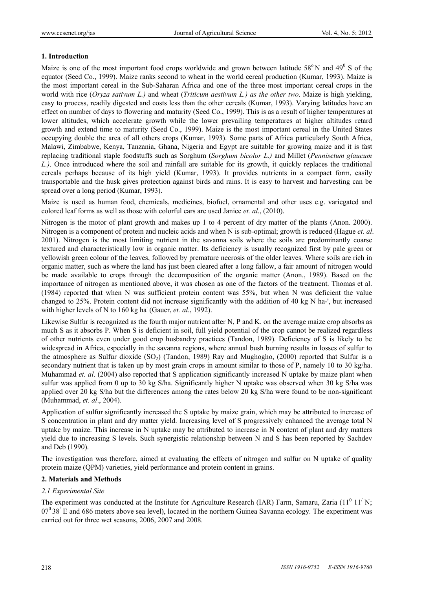# **1. Introduction**

Maize is one of the most important food crops worldwide and grown between latitude  $58^{\circ}$ N and  $49^{\circ}$  S of the equator (Seed Co., 1999). Maize ranks second to wheat in the world cereal production (Kumar, 1993). Maize is the most important cereal in the Sub-Saharan Africa and one of the three most important cereal crops in the world with rice (*Oryza sativum L.)* and wheat (*Triticum aestivum L.) as the other two*. Maize is high yielding, easy to process, readily digested and costs less than the other cereals (Kumar, 1993). Varying latitudes have an effect on number of days to flowering and maturity (Seed Co., 1999). This is as a result of higher temperatures at lower altitudes, which accelerate growth while the lower prevailing temperatures at higher altitudes retard growth and extend time to maturity (Seed Co., 1999). Maize is the most important cereal in the United States occupying double the area of all others crops (Kumar, 1993). Some parts of Africa particularly South Africa, Malawi, Zimbabwe, Kenya, Tanzania, Ghana, Nigeria and Egypt are suitable for growing maize and it is fast replacing traditional staple foodstuffs such as Sorghum (*Sorghum bicolor L.)* and Millet (*Pennisetum glaucum L.)*. Once introduced where the soil and rainfall are suitable for its growth, it quickly replaces the traditional cereals perhaps because of its high yield (Kumar, 1993). It provides nutrients in a compact form, easily transportable and the husk gives protection against birds and rains. It is easy to harvest and harvesting can be spread over a long period (Kumar, 1993).

Maize is used as human food, chemicals, medicines, biofuel, ornamental and other uses e.g. variegated and colored leaf forms as well as those with colorful ears are used Janice *et. al*., (2010).

Nitrogen is the motor of plant growth and makes up 1 to 4 percent of dry matter of the plants (Anon. 2000). Nitrogen is a component of protein and nucleic acids and when N is sub-optimal; growth is reduced (Hague *et. al*. 2001). Nitrogen is the most limiting nutrient in the savanna soils where the soils are predominantly coarse textured and characteristically low in organic matter. Its deficiency is usually recognized first by pale green or yellowish green colour of the leaves, followed by premature necrosis of the older leaves. Where soils are rich in organic matter, such as where the land has just been cleared after a long fallow, a fair amount of nitrogen would be made available to crops through the decomposition of the organic matter (Anon., 1989). Based on the importance of nitrogen as mentioned above, it was chosen as one of the factors of the treatment. Thomas et al. (1984) reported that when N was sufficient protein content was 55%, but when N was deficient the value changed to 25%. Protein content did not increase significantly with the addition of 40 kg N ha-', but increased with higher levels of N to 160 kg ha<sup>-</sup> (Gauer, *et. al.*, 1992).

Likewise Sulfur is recognized as the fourth major nutrient after N, P and K. on the average maize crop absorbs as much S as it absorbs P. When S is deficient in soil, full yield potential of the crop cannot be realized regardless of other nutrients even under good crop husbandry practices (Tandon, 1989). Deficiency of S is likely to be widespread in Africa, especially in the savanna regions, where annual bush burning results in losses of sulfur to the atmosphere as Sulfur dioxide  $(SO<sub>2</sub>)$  (Tandon, 1989). Ray and Mughogho, (2000) reported that Sulfur is a secondary nutrient that is taken up by most grain crops in amount similar to those of P, namely 10 to 30 kg/ha. Muhammad *et. al.* (2004) also reported that S application significantly increased N uptake by maize plant when sulfur was applied from 0 up to 30 kg S/ha. Significantly higher N uptake was observed when 30 kg S/ha was applied over 20 kg S/ha but the differences among the rates below 20 kg S/ha were found to be non-significant (Muhammad, *et. al*., 2004).

Application of sulfur significantly increased the S uptake by maize grain, which may be attributed to increase of S concentration in plant and dry matter yield. Increasing level of S progressively enhanced the average total N uptake by maize. This increase in N uptake may be attributed to increase in N content of plant and dry matters yield due to increasing S levels. Such synergistic relationship between N and S has been reported by Sachdev and Deb (1990).

The investigation was therefore, aimed at evaluating the effects of nitrogen and sulfur on N uptake of quality protein maize (QPM) varieties, yield performance and protein content in grains.

#### **2. Materials and Methods**

#### *2.1 Experimental Site*

The experiment was conducted at the Institute for Agriculture Research (IAR) Farm, Samaru, Zaria ( $11^{\circ}$   $11'$  N;  $07^0$  38<sup> $\prime$ </sup> E and 686 meters above sea level), located in the northern Guinea Savanna ecology. The experiment was carried out for three wet seasons, 2006, 2007 and 2008.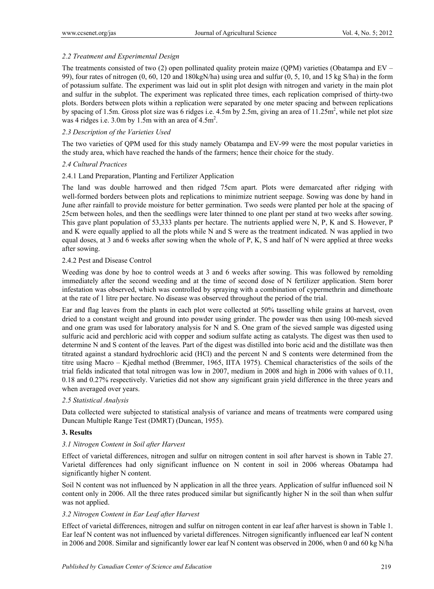# *2.2 Treatment and Experimental Design*

The treatments consisted of two (2) open pollinated quality protein maize (QPM) varieties (Obatampa and EV – 99), four rates of nitrogen (0, 60, 120 and 180kgN/ha) using urea and sulfur (0, 5, 10, and 15 kg S/ha) in the form of potassium sulfate. The experiment was laid out in split plot design with nitrogen and variety in the main plot and sulfur in the subplot. The experiment was replicated three times, each replication comprised of thirty-two plots. Borders between plots within a replication were separated by one meter spacing and between replications by spacing of 1.5m. Gross plot size was 6 ridges i.e.  $4.5$ m by 2.5m, giving an area of  $11.25$ m<sup>2</sup>, while net plot size was 4 ridges i.e.  $3.0$ m by 1.5m with an area of  $4.5$ m<sup>2</sup>.

# *2.3 Description of the Varieties Used*

The two varieties of QPM used for this study namely Obatampa and EV-99 were the most popular varieties in the study area, which have reached the hands of the farmers; hence their choice for the study.

# *2.4 Cultural Practices*

# 2.4.1 Land Preparation, Planting and Fertilizer Application

The land was double harrowed and then ridged 75cm apart. Plots were demarcated after ridging with well-formed borders between plots and replications to minimize nutrient seepage. Sowing was done by hand in June after rainfall to provide moisture for better germination. Two seeds were planted per hole at the spacing of 25cm between holes, and then the seedlings were later thinned to one plant per stand at two weeks after sowing. This gave plant population of 53,333 plants per hectare. The nutrients applied were N, P, K and S. However, P and K were equally applied to all the plots while N and S were as the treatment indicated. N was applied in two equal doses, at 3 and 6 weeks after sowing when the whole of P, K, S and half of N were applied at three weeks after sowing.

# 2.4.2 Pest and Disease Control

Weeding was done by hoe to control weeds at 3 and 6 weeks after sowing. This was followed by remolding immediately after the second weeding and at the time of second dose of N fertilizer application. Stem borer infestation was observed, which was controlled by spraying with a combination of cypermethrin and dimethoate at the rate of 1 litre per hectare. No disease was observed throughout the period of the trial.

Ear and flag leaves from the plants in each plot were collected at 50% tasselling while grains at harvest, oven dried to a constant weight and ground into powder using grinder. The powder was then using 100-mesh sieved and one gram was used for laboratory analysis for N and S. One gram of the sieved sample was digested using sulfuric acid and perchloric acid with copper and sodium sulfate acting as catalysts. The digest was then used to determine N and S content of the leaves. Part of the digest was distilled into boric acid and the distillate was then titrated against a standard hydrochloric acid (HCl) and the percent N and S contents were determined from the titre using Macro – Kjedhal method (Bremmer, 1965, IITA 1975). Chemical characteristics of the soils of the trial fields indicated that total nitrogen was low in 2007, medium in 2008 and high in 2006 with values of 0.11, 0.18 and 0.27% respectively. Varieties did not show any significant grain yield difference in the three years and when averaged over years.

# *2.5 Statistical Analysis*

Data collected were subjected to statistical analysis of variance and means of treatments were compared using Duncan Multiple Range Test (DMRT) (Duncan, 1955).

# **3. Results**

# *3.1 Nitrogen Content in Soil after Harvest*

Effect of varietal differences, nitrogen and sulfur on nitrogen content in soil after harvest is shown in Table 27. Varietal differences had only significant influence on N content in soil in 2006 whereas Obatampa had significantly higher N content.

Soil N content was not influenced by N application in all the three years. Application of sulfur influenced soil N content only in 2006. All the three rates produced similar but significantly higher N in the soil than when sulfur was not applied.

# *3.2 Nitrogen Content in Ear Leaf after Harvest*

Effect of varietal differences, nitrogen and sulfur on nitrogen content in ear leaf after harvest is shown in Table 1. Ear leaf N content was not influenced by varietal differences. Nitrogen significantly influenced ear leaf N content in 2006 and 2008. Similar and significantly lower ear leaf N content was observed in 2006, when 0 and 60 kg N/ha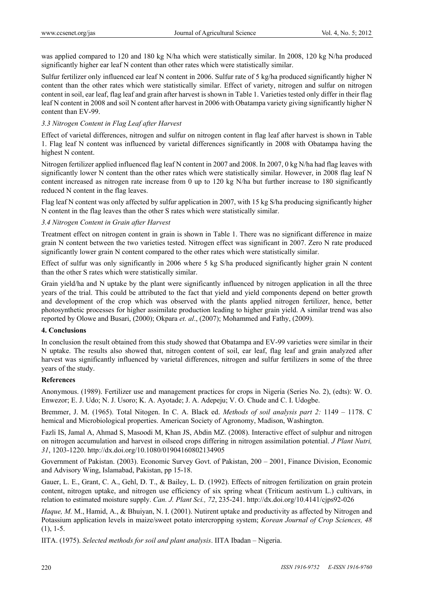was applied compared to 120 and 180 kg N/ha which were statistically similar. In 2008, 120 kg N/ha produced significantly higher ear leaf N content than other rates which were statistically similar.

Sulfur fertilizer only influenced ear leaf N content in 2006. Sulfur rate of 5 kg/ha produced significantly higher N content than the other rates which were statistically similar. Effect of variety, nitrogen and sulfur on nitrogen content in soil, ear leaf, flag leaf and grain after harvest is shown in Table 1. Varieties tested only differ in their flag leaf N content in 2008 and soil N content after harvest in 2006 with Obatampa variety giving significantly higher N content than EV-99.

# *3.3 Nitrogen Content in Flag Leaf after Harvest*

Effect of varietal differences, nitrogen and sulfur on nitrogen content in flag leaf after harvest is shown in Table 1. Flag leaf N content was influenced by varietal differences significantly in 2008 with Obatampa having the highest N content.

Nitrogen fertilizer applied influenced flag leaf N content in 2007 and 2008. In 2007, 0 kg N/ha had flag leaves with significantly lower N content than the other rates which were statistically similar. However, in 2008 flag leaf N content increased as nitrogen rate increase from 0 up to 120 kg N/ha but further increase to 180 significantly reduced N content in the flag leaves.

Flag leaf N content was only affected by sulfur application in 2007, with 15 kg S/ha producing significantly higher N content in the flag leaves than the other S rates which were statistically similar.

# *3.4 Nitrogen Content in Grain after Harvest*

Treatment effect on nitrogen content in grain is shown in Table 1. There was no significant difference in maize grain N content between the two varieties tested. Nitrogen effect was significant in 2007. Zero N rate produced significantly lower grain N content compared to the other rates which were statistically similar.

Effect of sulfur was only significantly in 2006 where 5 kg S/ha produced significantly higher grain N content than the other S rates which were statistically similar.

Grain yield/ha and N uptake by the plant were significantly influenced by nitrogen application in all the three years of the trial. This could be attributed to the fact that yield and yield components depend on better growth and development of the crop which was observed with the plants applied nitrogen fertilizer, hence, better photosynthetic processes for higher assimilate production leading to higher grain yield. A similar trend was also reported by Olowe and Busari, (2000); Okpara *et. al*., (2007); Mohammed and Fathy, (2009).

# **4. Conclusions**

In conclusion the result obtained from this study showed that Obatampa and EV-99 varieties were similar in their N uptake. The results also showed that, nitrogen content of soil, ear leaf, flag leaf and grain analyzed after harvest was significantly influenced by varietal differences, nitrogen and sulfur fertilizers in some of the three years of the study.

# **References**

Anonymous. (1989). Fertilizer use and management practices for crops in Nigeria (Series No. 2), (edts): W. O. Enwezor; E. J. Udo; N. J. Usoro; K. A. Ayotade; J. A. Adepeju; V. O. Chude and C. I. Udogbe.

Bremmer, J. M. (1965). Total Nitogen. In C. A. Black ed. *Methods of soil analysis part 2:* 1149 – 1178. C hemical and Microbiological properties. American Society of Agronomy, Madison, Washington.

Fazli IS, Jamal A, Ahmad S, Masoodi M, Khan JS, Abdin MZ. (2008). Interactive effect of sulphur and nitrogen on nitrogen accumulation and harvest in oilseed crops differing in nitrogen assimilation potential. *J Plant Nutri, 31*, 1203-1220. http://dx.doi.org/10.1080/01904160802134905

Government of Pakistan. (2003). Economic Survey Govt. of Pakistan, 200 – 2001, Finance Division, Economic and Advisory Wing, Islamabad, Pakistan, pp 15-18.

Gauer, L. E., Grant, C. A., Gehl, D. T., & Bailey, L. D. (1992). Effects of nitrogen fertilization on grain protein content, nitrogen uptake, and nitrogen use efficiency of six spring wheat (Triticum aestivum L.) cultivars, in relation to estimated moisture supply. *Can. J. Plant Sci., 72*, 235-241. http://dx.doi.org/10.4141/cjps92-026

*Haque, M. M., Hamid, A., & Bhuiyan, N. I. (2001). Nutirent uptake and productivity as affected by Nitrogen and* Potassium application levels in maize/sweet potato intercropping system; *Korean Journal of Crop Sciences, 48*  $(1), 1-5.$ 

IITA. (1975). *Selected methods for soil and plant analysis*. IITA Ibadan – Nigeria.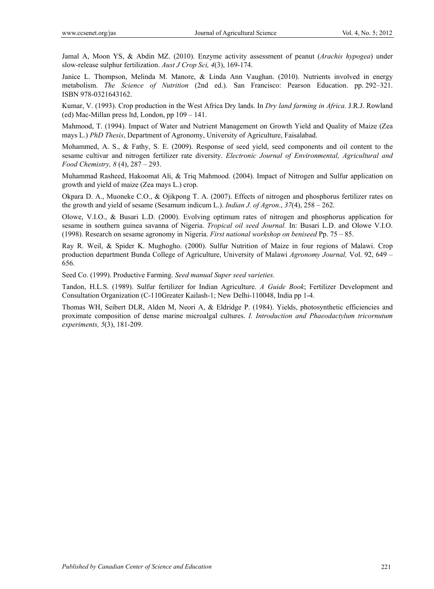Jamal A, Moon YS, & Abdin MZ. (2010). Enzyme activity assessment of peanut (*Arachis hypogea*) under slow-release sulphur fertilization. *Aust J Crop Sci, 4*(3), 169-174.

Janice L. Thompson, Melinda M. Manore, & Linda Ann Vaughan. (2010). Nutrients involved in energy metabolism. *The Science of Nutrition* (2nd ed.). San Francisco: Pearson Education. pp. 292–321. ISBN 978-0321643162.

Kumar, V. (1993). Crop production in the West Africa Dry lands. In *Dry land farming in Africa.* J.R.J. Rowland (ed) Mac-Millan press ltd, London, pp 109 – 141.

Mahmood, T. (1994). Impact of Water and Nutrient Management on Growth Yield and Quality of Maize (Zea mays L.) *PhD Thesis*, Department of Agronomy, University of Agriculture, Faisalabad.

Mohammed, A. S., & Fathy, S. E. (2009). Response of seed yield, seed components and oil content to the sesame cultivar and nitrogen fertilizer rate diversity. *Electronic Journal of Environmental, Agricultural and Food Chemistry, 8* (4), 287 – 293.

Muhammad Rasheed, Hakoomat Ali, & Triq Mahmood. (2004). Impact of Nitrogen and Sulfur application on growth and yield of maize (Zea mays L.) crop.

Okpara D. A., Muoneke C.O., & Ojikpong T. A. (2007). Effects of nitrogen and phosphorus fertilizer rates on the growth and yield of sesame (Sesamum indicum L.). *Indian J. of Agron*., *37*(4), 258 – 262.

Olowe, V.I.O., & Busari L.D. (2000). Evolving optimum rates of nitrogen and phosphorus application for sesame in southern guinea savanna of Nigeria. *Tropical oil seed Journal.* In: Busari L.D. and Olowe V.I.O. (1998). Research on sesame agronomy in Nigeria. *First national workshop on beniseed* Pp. 75 – 85.

Ray R. Weil, & Spider K. Mughogho. (2000). Sulfur Nutrition of Maize in four regions of Malawi. Crop production department Bunda College of Agriculture, University of Malawi *Agronomy Journal,* Vol. 92, 649 – 656.

Seed Co. (1999). Productive Farming. *Seed manual Super seed varieties.* 

Tandon, H.L.S. (1989). Sulfur fertilizer for Indian Agriculture. *A Guide Book*; Fertilizer Development and Consultation Organization (C-110Greater Kailash-1; New Delhi-110048, India pp 1-4.

Thomas WH, Seibert DLR, Alden M, Neori A, & Eldridge P. (1984). Yields, photosynthetic efficiencies and proximate composition of dense marine microalgal cultures. *I. Introduction and Phaeodactylum tricornutum experiments, 5*(3), 181-209.